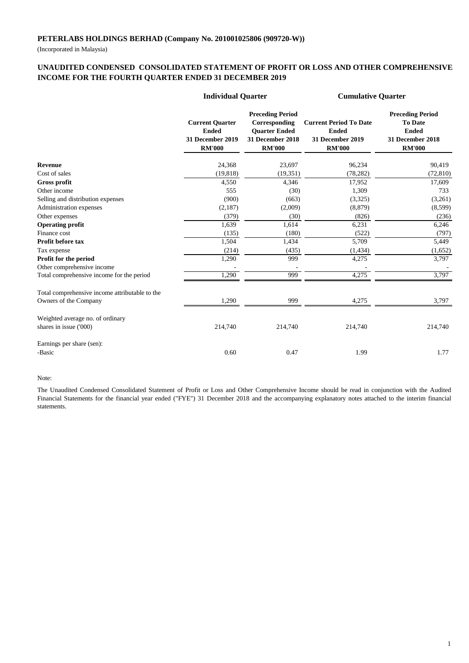(Incorporated in Malaysia)

#### **UNAUDITED CONDENSED CONSOLIDATED STATEMENT OF PROFIT OR LOSS AND OTHER COMPREHENSIVE INCOME FOR THE FOURTH QUARTER ENDED 31 DECEMBER 2019**

|                                                | <b>Individual Quarter</b>                                                   |                                                                                                       | <b>Cumulative Quarter</b>                                                          |                                                                                                |  |
|------------------------------------------------|-----------------------------------------------------------------------------|-------------------------------------------------------------------------------------------------------|------------------------------------------------------------------------------------|------------------------------------------------------------------------------------------------|--|
|                                                | <b>Current Quarter</b><br><b>Ended</b><br>31 December 2019<br><b>RM'000</b> | <b>Preceding Period</b><br>Corresponding<br><b>Ouarter Ended</b><br>31 December 2018<br><b>RM'000</b> | <b>Current Period To Date</b><br><b>Ended</b><br>31 December 2019<br><b>RM'000</b> | <b>Preceding Period</b><br><b>To Date</b><br><b>Ended</b><br>31 December 2018<br><b>RM'000</b> |  |
| <b>Revenue</b>                                 | 24,368                                                                      | 23,697                                                                                                | 96,234                                                                             | 90,419                                                                                         |  |
| Cost of sales                                  | (19, 818)                                                                   | (19, 351)                                                                                             | (78, 282)                                                                          | (72, 810)                                                                                      |  |
| Gross profit                                   | 4,550                                                                       | 4,346                                                                                                 | 17,952                                                                             | 17,609                                                                                         |  |
| Other income                                   | 555                                                                         | (30)                                                                                                  | 1,309                                                                              | 733                                                                                            |  |
| Selling and distribution expenses              | (900)                                                                       | (663)                                                                                                 | (3,325)                                                                            | (3,261)                                                                                        |  |
| Administration expenses                        | (2,187)                                                                     | (2,009)                                                                                               | (8, 879)                                                                           | (8,599)                                                                                        |  |
| Other expenses                                 | (379)                                                                       | (30)                                                                                                  | (826)                                                                              | (236)                                                                                          |  |
| <b>Operating profit</b>                        | 1,639                                                                       | 1,614                                                                                                 | 6,231                                                                              | 6,246                                                                                          |  |
| Finance cost                                   | (135)                                                                       | (180)                                                                                                 | (522)                                                                              | (797)                                                                                          |  |
| Profit before tax                              | 1,504                                                                       | 1,434                                                                                                 | 5,709                                                                              | 5,449                                                                                          |  |
| Tax expense                                    | (214)                                                                       | (435)                                                                                                 | (1, 434)                                                                           | (1,652)                                                                                        |  |
| Profit for the period                          | 1,290                                                                       | 999                                                                                                   | 4,275                                                                              | 3,797                                                                                          |  |
| Other comprehensive income                     |                                                                             |                                                                                                       |                                                                                    |                                                                                                |  |
| Total comprehensive income for the period      | 1,290                                                                       | 999                                                                                                   | 4,275                                                                              | 3,797                                                                                          |  |
| Total comprehensive income attributable to the |                                                                             |                                                                                                       |                                                                                    |                                                                                                |  |
| Owners of the Company                          | 1,290                                                                       | 999                                                                                                   | 4,275                                                                              | 3,797                                                                                          |  |
| Weighted average no. of ordinary               |                                                                             |                                                                                                       |                                                                                    |                                                                                                |  |
| shares in issue ('000)                         | 214,740                                                                     | 214,740                                                                                               | 214,740                                                                            | 214,740                                                                                        |  |
| Earnings per share (sen):                      |                                                                             |                                                                                                       |                                                                                    |                                                                                                |  |
| -Basic                                         | 0.60                                                                        | 0.47                                                                                                  | 1.99                                                                               | 1.77                                                                                           |  |

#### Note:

The Unaudited Condensed Consolidated Statement of Profit or Loss and Other Comprehensive Income should be read in conjunction with the Audited Financial Statements for the financial year ended ("FYE") 31 December 2018 and the accompanying explanatory notes attached to the interim financial statements.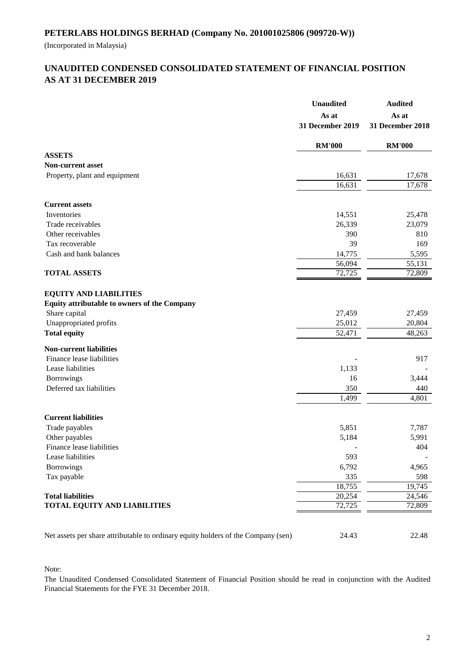(Incorporated in Malaysia)

# **AS AT 31 DECEMBER 2019 UNAUDITED CONDENSED CONSOLIDATED STATEMENT OF FINANCIAL POSITION**

|                                                                                   | <b>Unaudited</b>          | <b>Audited</b>            |  |
|-----------------------------------------------------------------------------------|---------------------------|---------------------------|--|
|                                                                                   | As at<br>31 December 2019 | As at<br>31 December 2018 |  |
|                                                                                   | <b>RM'000</b>             | <b>RM'000</b>             |  |
| <b>ASSETS</b>                                                                     |                           |                           |  |
| <b>Non-current asset</b>                                                          |                           |                           |  |
| Property, plant and equipment                                                     | 16,631                    | 17,678                    |  |
|                                                                                   | 16,631                    | 17,678                    |  |
| <b>Current assets</b>                                                             |                           |                           |  |
| Inventories                                                                       | 14,551                    | 25,478                    |  |
| Trade receivables                                                                 | 26,339                    | 23,079                    |  |
| Other receivables                                                                 | 390                       | 810                       |  |
| Tax recoverable                                                                   | 39                        | 169                       |  |
| Cash and bank balances                                                            | 14,775                    | 5,595                     |  |
|                                                                                   | 56,094                    | 55,131                    |  |
| <b>TOTAL ASSETS</b>                                                               | $\overline{72,725}$       | 72,809                    |  |
|                                                                                   |                           |                           |  |
| <b>EQUITY AND LIABILITIES</b>                                                     |                           |                           |  |
| Equity attributable to owners of the Company                                      |                           |                           |  |
| Share capital                                                                     | 27,459                    | 27,459                    |  |
| Unappropriated profits                                                            | 25,012                    | 20,804                    |  |
| <b>Total equity</b>                                                               | 52,471                    | 48,263                    |  |
| <b>Non-current liabilities</b>                                                    |                           |                           |  |
| Finance lease liabilities                                                         |                           | 917                       |  |
| Lease liabilities                                                                 | 1,133                     |                           |  |
| <b>Borrowings</b>                                                                 | 16                        | 3,444                     |  |
| Deferred tax liabilities                                                          | 350                       | 440                       |  |
|                                                                                   | 1,499                     | 4,801                     |  |
|                                                                                   |                           |                           |  |
| <b>Current liabilities</b>                                                        |                           |                           |  |
| Trade payables                                                                    | 5,851                     | 7,787                     |  |
| Other payables                                                                    | 5,184                     | 5,991                     |  |
| Finance lease liabilities                                                         |                           | 404                       |  |
| Lease liabilities                                                                 | 593                       |                           |  |
| Borrowings                                                                        | 6,792                     | 4,965                     |  |
| Tax payable                                                                       | 335                       | 598                       |  |
|                                                                                   | 18,755                    | 19,745                    |  |
| <b>Total liabilities</b>                                                          | 20,254                    | 24,546                    |  |
| <b>TOTAL EQUITY AND LIABILITIES</b>                                               | 72,725                    | 72,809                    |  |
|                                                                                   |                           |                           |  |
|                                                                                   |                           |                           |  |
| Net assets per share attributable to ordinary equity holders of the Company (sen) | 24.43                     | 22.48                     |  |

Note:

The Unaudited Condensed Consolidated Statement of Financial Position should be read in conjunction with the Audited Financial Statements for the FYE 31 December 2018.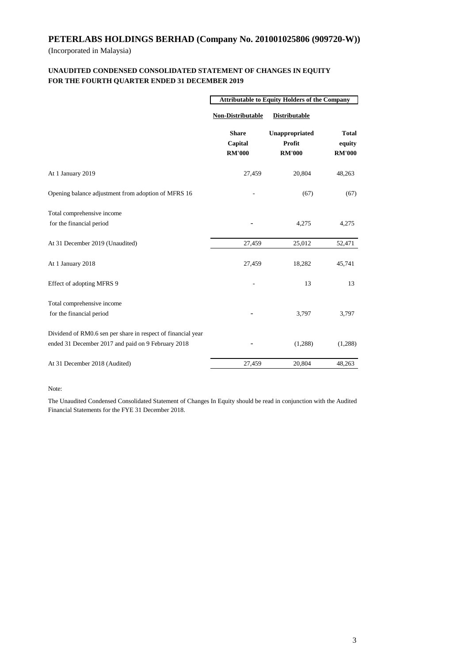(Incorporated in Malaysia)

#### **FOR THE FOURTH QUARTER ENDED 31 DECEMBER 2019 UNAUDITED CONDENSED CONSOLIDATED STATEMENT OF CHANGES IN EQUITY**

|                                                                                                                    | <b>Attributable to Equity Holders of the Company</b> |                                           |                                         |  |
|--------------------------------------------------------------------------------------------------------------------|------------------------------------------------------|-------------------------------------------|-----------------------------------------|--|
|                                                                                                                    | <b>Non-Distributable</b>                             | <b>Distributable</b>                      |                                         |  |
|                                                                                                                    | <b>Share</b><br>Capital<br><b>RM'000</b>             | Unappropriated<br>Profit<br><b>RM'000</b> | <b>Total</b><br>equity<br><b>RM'000</b> |  |
| At 1 January 2019                                                                                                  | 27,459                                               | 20,804                                    | 48,263                                  |  |
| Opening balance adjustment from adoption of MFRS 16                                                                |                                                      | (67)                                      | (67)                                    |  |
| Total comprehensive income<br>for the financial period                                                             |                                                      | 4,275                                     | 4,275                                   |  |
| At 31 December 2019 (Unaudited)                                                                                    | 27,459                                               | 25,012                                    | 52,471                                  |  |
| At 1 January 2018                                                                                                  | 27,459                                               | 18,282                                    | 45,741                                  |  |
| Effect of adopting MFRS 9                                                                                          |                                                      | 13                                        | 13                                      |  |
| Total comprehensive income<br>for the financial period                                                             |                                                      | 3,797                                     | 3,797                                   |  |
| Dividend of RM0.6 sen per share in respect of financial year<br>ended 31 December 2017 and paid on 9 February 2018 |                                                      | (1,288)                                   | (1,288)                                 |  |
| At 31 December 2018 (Audited)                                                                                      | 27,459                                               | 20,804                                    | 48,263                                  |  |

Note:

The Unaudited Condensed Consolidated Statement of Changes In Equity should be read in conjunction with the Audited Financial Statements for the FYE 31 December 2018.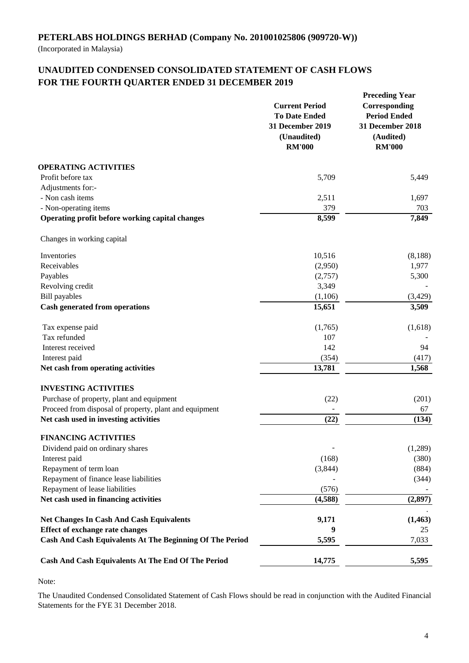(Incorporated in Malaysia)

# **UNAUDITED CONDENSED CONSOLIDATED STATEMENT OF CASH FLOWS FOR THE FOURTH QUARTER ENDED 31 DECEMBER 2019**

|                                                                 | <b>Current Period</b><br><b>To Date Ended</b><br><b>31 December 2019</b><br>(Unaudited)<br><b>RM'000</b> | <b>Preceding Year</b><br>Corresponding<br><b>Period Ended</b><br>31 December 2018<br>(Audited)<br><b>RM'000</b> |
|-----------------------------------------------------------------|----------------------------------------------------------------------------------------------------------|-----------------------------------------------------------------------------------------------------------------|
| <b>OPERATING ACTIVITIES</b>                                     |                                                                                                          |                                                                                                                 |
| Profit before tax                                               | 5,709                                                                                                    | 5,449                                                                                                           |
| Adjustments for:-                                               |                                                                                                          |                                                                                                                 |
| - Non cash items                                                | 2,511                                                                                                    | 1,697                                                                                                           |
| - Non-operating items                                           | 379                                                                                                      | 703                                                                                                             |
| Operating profit before working capital changes                 | $\overline{8,599}$                                                                                       | 7,849                                                                                                           |
| Changes in working capital                                      |                                                                                                          |                                                                                                                 |
| Inventories                                                     | 10,516                                                                                                   | (8,188)                                                                                                         |
| Receivables                                                     | (2,950)                                                                                                  | 1,977                                                                                                           |
| Payables                                                        | (2,757)                                                                                                  | 5,300                                                                                                           |
| Revolving credit                                                | 3,349                                                                                                    |                                                                                                                 |
| <b>Bill</b> payables                                            | (1,106)                                                                                                  | (3,429)                                                                                                         |
| <b>Cash generated from operations</b>                           | 15,651                                                                                                   | 3,509                                                                                                           |
| Tax expense paid                                                | (1,765)                                                                                                  | (1,618)                                                                                                         |
| Tax refunded                                                    | 107                                                                                                      |                                                                                                                 |
| Interest received                                               | 142                                                                                                      | 94                                                                                                              |
| Interest paid                                                   | (354)                                                                                                    | (417)                                                                                                           |
| Net cash from operating activities                              | 13,781                                                                                                   | 1,568                                                                                                           |
| <b>INVESTING ACTIVITIES</b>                                     |                                                                                                          |                                                                                                                 |
| Purchase of property, plant and equipment                       | (22)                                                                                                     | (201)                                                                                                           |
| Proceed from disposal of property, plant and equipment          |                                                                                                          | 67                                                                                                              |
| Net cash used in investing activities                           | (22)                                                                                                     | (134)                                                                                                           |
| <b>FINANCING ACTIVITIES</b>                                     |                                                                                                          |                                                                                                                 |
| Dividend paid on ordinary shares                                |                                                                                                          | (1,289)                                                                                                         |
| Interest paid                                                   | (168)                                                                                                    | (380)                                                                                                           |
| Repayment of term loan                                          | (3,844)                                                                                                  | (884)                                                                                                           |
| Repayment of finance lease liabilities                          |                                                                                                          | (344)                                                                                                           |
| Repayment of lease liabilities                                  | (576)                                                                                                    |                                                                                                                 |
| Net cash used in financing activities                           | (4,588)                                                                                                  | (2, 897)                                                                                                        |
| <b>Net Changes In Cash And Cash Equivalents</b>                 | 9,171                                                                                                    | (1, 463)                                                                                                        |
| <b>Effect of exchange rate changes</b>                          | 9                                                                                                        | 25                                                                                                              |
| <b>Cash And Cash Equivalents At The Beginning Of The Period</b> | 5,595                                                                                                    | 7,033                                                                                                           |
| Cash And Cash Equivalents At The End Of The Period              | 14,775                                                                                                   | 5,595                                                                                                           |

Note:

The Unaudited Condensed Consolidated Statement of Cash Flows should be read in conjunction with the Audited Financial Statements for the FYE 31 December 2018.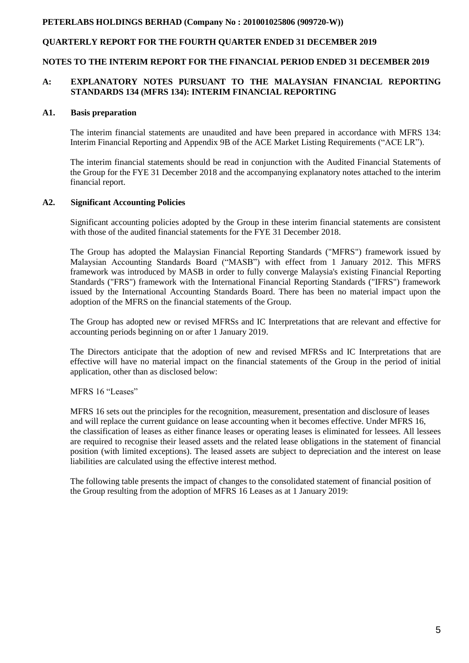### **QUARTERLY REPORT FOR THE FOURTH QUARTER ENDED 31 DECEMBER 2019**

#### **NOTES TO THE INTERIM REPORT FOR THE FINANCIAL PERIOD ENDED 31 DECEMBER 2019**

#### **A: EXPLANATORY NOTES PURSUANT TO THE MALAYSIAN FINANCIAL REPORTING STANDARDS 134 (MFRS 134): INTERIM FINANCIAL REPORTING**

#### **A1. Basis preparation**

The interim financial statements are unaudited and have been prepared in accordance with MFRS 134: Interim Financial Reporting and Appendix 9B of the ACE Market Listing Requirements ("ACE LR").

The interim financial statements should be read in conjunction with the Audited Financial Statements of the Group for the FYE 31 December 2018 and the accompanying explanatory notes attached to the interim financial report.

#### **A2. Significant Accounting Policies**

Significant accounting policies adopted by the Group in these interim financial statements are consistent with those of the audited financial statements for the FYE 31 December 2018.

The Group has adopted the Malaysian Financial Reporting Standards ("MFRS") framework issued by Malaysian Accounting Standards Board ("MASB") with effect from 1 January 2012. This MFRS framework was introduced by MASB in order to fully converge Malaysia's existing Financial Reporting Standards ("FRS") framework with the International Financial Reporting Standards ("IFRS") framework issued by the International Accounting Standards Board. There has been no material impact upon the adoption of the MFRS on the financial statements of the Group.

The Group has adopted new or revised MFRSs and IC Interpretations that are relevant and effective for accounting periods beginning on or after 1 January 2019.

The Directors anticipate that the adoption of new and revised MFRSs and IC Interpretations that are effective will have no material impact on the financial statements of the Group in the period of initial application, other than as disclosed below:

#### MFRS 16 "Leases"

MFRS 16 sets out the principles for the recognition, measurement, presentation and disclosure of leases and will replace the current guidance on lease accounting when it becomes effective. Under MFRS 16, the classification of leases as either finance leases or operating leases is eliminated for lessees. All lessees are required to recognise their leased assets and the related lease obligations in the statement of financial position (with limited exceptions). The leased assets are subject to depreciation and the interest on lease liabilities are calculated using the effective interest method.

The following table presents the impact of changes to the consolidated statement of financial position of the Group resulting from the adoption of MFRS 16 Leases as at 1 January 2019: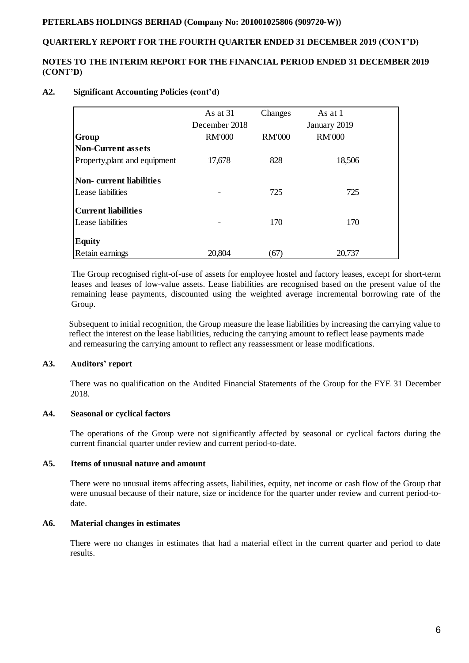#### **QUARTERLY REPORT FOR THE FOURTH QUARTER ENDED 31 DECEMBER 2019 (CONT'D)**

#### **NOTES TO THE INTERIM REPORT FOR THE FINANCIAL PERIOD ENDED 31 DECEMBER 2019 (CONT'D)**

#### **A2. Significant Accounting Policies (cont'd)**

|                               | As at 31<br>December 2018 | Changes       | As at 1<br>January 2019 |  |
|-------------------------------|---------------------------|---------------|-------------------------|--|
| Group                         | <b>RM'000</b>             | <b>RM'000</b> | <b>RM'000</b>           |  |
| Non-Current assets            |                           |               |                         |  |
| Property, plant and equipment | 17,678                    | 828           | 18,506                  |  |
| Non-current liabilities       |                           |               |                         |  |
| Lease liabilities             |                           | 725           | 725                     |  |
| Current liabilities           |                           |               |                         |  |
| Lease liabilities             |                           | 170           | 170                     |  |
| <b>Equity</b>                 |                           |               |                         |  |
| Retain earnings               | 20,804                    | (67)          | 20,737                  |  |

The Group recognised right-of-use of assets for employee hostel and factory leases, except for short-term leases and leases of low-value assets. Lease liabilities are recognised based on the present value of the remaining lease payments, discounted using the weighted average incremental borrowing rate of the Group.

 Subsequent to initial recognition, the Group measure the lease liabilities by increasing the carrying value to reflect the interest on the lease liabilities, reducing the carrying amount to reflect lease payments made and remeasuring the carrying amount to reflect any reassessment or lease modifications.

#### **A3. Auditors' report**

There was no qualification on the Audited Financial Statements of the Group for the FYE 31 December 2018.

#### **A4. Seasonal or cyclical factors**

The operations of the Group were not significantly affected by seasonal or cyclical factors during the current financial quarter under review and current period-to-date.

## **A5. Items of unusual nature and amount**

There were no unusual items affecting assets, liabilities, equity, net income or cash flow of the Group that were unusual because of their nature, size or incidence for the quarter under review and current period-todate.

#### **A6. Material changes in estimates**

There were no changes in estimates that had a material effect in the current quarter and period to date results.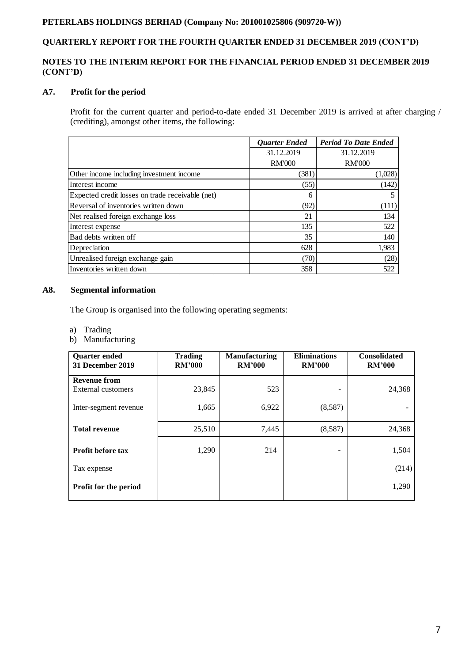# **QUARTERLY REPORT FOR THE FOURTH QUARTER ENDED 31 DECEMBER 2019 (CONT'D)**

### **NOTES TO THE INTERIM REPORT FOR THE FINANCIAL PERIOD ENDED 31 DECEMBER 2019 (CONT'D)**

## **A7. Profit for the period**

Profit for the current quarter and period-to-date ended 31 December 2019 is arrived at after charging / (crediting), amongst other items, the following:

|                                                  | <b>Quarter Ended</b> | <b>Period To Date Ended</b> |
|--------------------------------------------------|----------------------|-----------------------------|
|                                                  | 31.12.2019           | 31.12.2019                  |
|                                                  | <b>RM'000</b>        | <b>RM'000</b>               |
| Other income including investment income         | (381)                | (1,028)                     |
| Interest income                                  | (55)                 | (142)                       |
| Expected credit losses on trade receivable (net) | 6                    |                             |
| Reversal of inventories written down             | (92)                 | (111)                       |
| Net realised foreign exchange loss               | 21                   | 134                         |
| Interest expense                                 | 135                  | 522                         |
| Bad debts written off                            | 35                   | 140                         |
| Depreciation                                     | 628                  | 1,983                       |
| Unrealised foreign exchange gain                 | (70)                 | (28)                        |
| Inventories written down                         | 358                  | 522                         |

### **A8. Segmental information**

The Group is organised into the following operating segments:

- a) Trading
- b) Manufacturing

| <b>Quarter ended</b><br><b>31 December 2019</b> | <b>Trading</b><br><b>RM'000</b> | <b>Manufacturing</b><br><b>RM'000</b> | <b>Eliminations</b><br><b>RM'000</b> | <b>Consolidated</b><br><b>RM'000</b> |
|-------------------------------------------------|---------------------------------|---------------------------------------|--------------------------------------|--------------------------------------|
| <b>Revenue from</b>                             |                                 |                                       |                                      |                                      |
| External customers                              | 23,845                          | 523                                   | -                                    | 24,368                               |
| Inter-segment revenue                           | 1,665                           | 6,922                                 | (8,587)                              |                                      |
| <b>Total revenue</b>                            | 25,510                          | 7,445                                 | (8,587)                              | 24,368                               |
| Profit before tax                               | 1,290                           | 214                                   |                                      | 1,504                                |
| Tax expense                                     |                                 |                                       |                                      | (214)                                |
| <b>Profit for the period</b>                    |                                 |                                       |                                      | 1,290                                |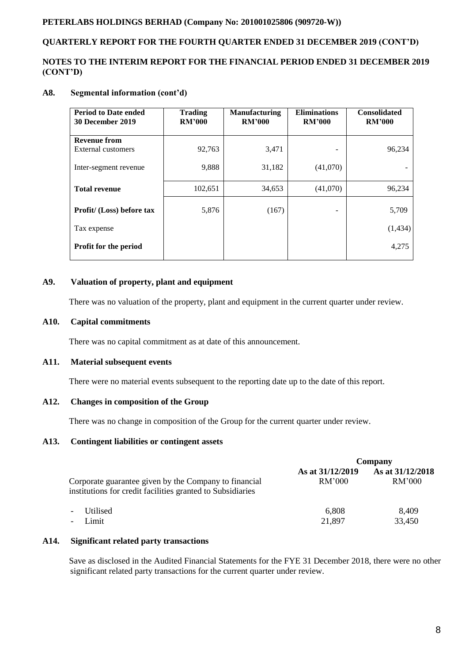# **QUARTERLY REPORT FOR THE FOURTH QUARTER ENDED 31 DECEMBER 2019 (CONT'D)**

#### **NOTES TO THE INTERIM REPORT FOR THE FINANCIAL PERIOD ENDED 31 DECEMBER 2019 (CONT'D)**

#### **A8. Segmental information (cont'd)**

| <b>Period to Date ended</b><br>30 December 2019 | <b>Trading</b><br><b>RM'000</b> | <b>Manufacturing</b><br><b>RM'000</b> | <b>Eliminations</b><br><b>RM'000</b> | <b>Consolidated</b><br><b>RM'000</b> |
|-------------------------------------------------|---------------------------------|---------------------------------------|--------------------------------------|--------------------------------------|
| <b>Revenue from</b>                             |                                 |                                       |                                      |                                      |
| External customers                              | 92,763                          | 3,471                                 |                                      | 96,234                               |
| Inter-segment revenue                           | 9,888                           | 31,182                                | (41,070)                             |                                      |
| <b>Total revenue</b>                            | 102,651                         | 34,653                                | (41,070)                             | 96,234                               |
| Profit/ (Loss) before tax                       | 5,876                           | (167)                                 | -                                    | 5,709                                |
| Tax expense                                     |                                 |                                       |                                      | (1, 434)                             |
| <b>Profit for the period</b>                    |                                 |                                       |                                      | 4,275                                |

#### **A9. Valuation of property, plant and equipment**

There was no valuation of the property, plant and equipment in the current quarter under review.

#### **A10. Capital commitments**

There was no capital commitment as at date of this announcement.

#### **A11. Material subsequent events**

There were no material events subsequent to the reporting date up to the date of this report.

#### **A12. Changes in composition of the Group**

There was no change in composition of the Group for the current quarter under review.

#### **A13. Contingent liabilities or contingent assets**

|                                                                                                                     | Company                    |                            |  |
|---------------------------------------------------------------------------------------------------------------------|----------------------------|----------------------------|--|
| Corporate guarantee given by the Company to financial<br>institutions for credit facilities granted to Subsidiaries | As at 31/12/2019<br>RM'000 | As at 31/12/2018<br>RM'000 |  |
| <b>Utilised</b><br>$\overline{\phantom{a}}$<br>Limit<br>$\overline{\phantom{a}}$                                    | 6.808<br>21,897            | 8,409<br>33,450            |  |

#### **A14. Significant related party transactions**

 Save as disclosed in the Audited Financial Statements for the FYE 31 December 2018, there were no other significant related party transactions for the current quarter under review.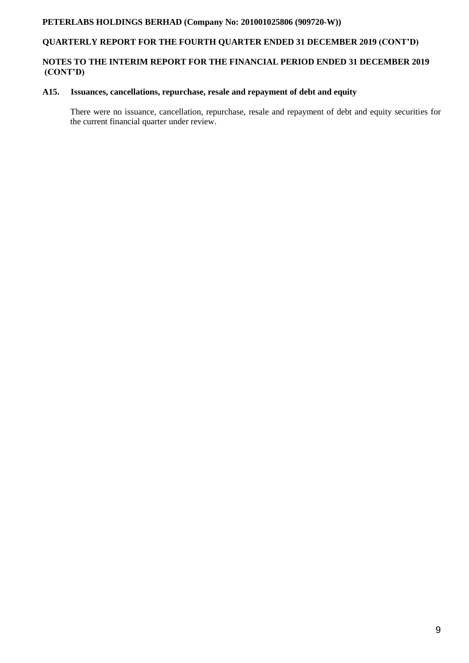# **QUARTERLY REPORT FOR THE FOURTH QUARTER ENDED 31 DECEMBER 2019 (CONT'D)**

# **NOTES TO THE INTERIM REPORT FOR THE FINANCIAL PERIOD ENDED 31 DECEMBER 2019 (CONT'D)**

#### **A15. Issuances, cancellations, repurchase, resale and repayment of debt and equity**

There were no issuance, cancellation, repurchase, resale and repayment of debt and equity securities for the current financial quarter under review.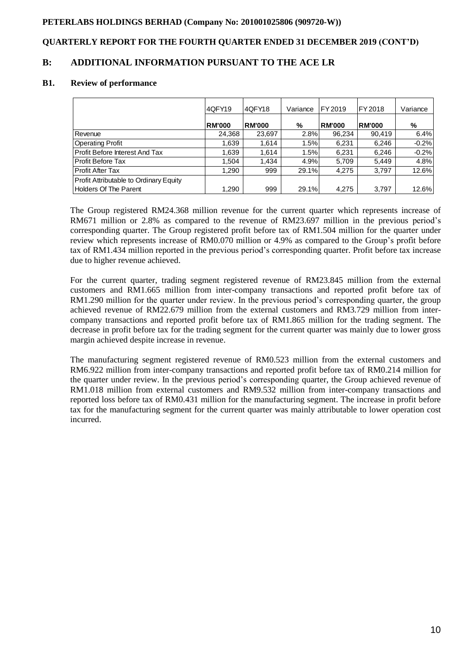# **QUARTERLY REPORT FOR THE FOURTH QUARTER ENDED 31 DECEMBER 2019 (CONT'D)**

# **B: ADDITIONAL INFORMATION PURSUANT TO THE ACE LR**

#### **B1. Review of performance**

|                                               | 4QFY19        | I4QFY18       | Variance | FY 2019       | FY 2018       | Variance |
|-----------------------------------------------|---------------|---------------|----------|---------------|---------------|----------|
|                                               | <b>RM'000</b> | <b>RM'000</b> | %        | <b>RM'000</b> | <b>RM'000</b> | %        |
| Revenue                                       | 24,368        | 23,697        | 2.8%     | 96,234        | 90,419        | 6.4%     |
| <b>Operating Profit</b>                       | 1.639         | 1.614         | 1.5%     | 6.231         | 6.246         | $-0.2%$  |
| Profit Before Interest And Tax                | 1,639         | 1.614         | 1.5%     | 6,231         | 6,246         | $-0.2%$  |
| <b>Profit Before Tax</b>                      | 1.504         | 1.434         | 4.9%     | 5.709         | 5.449         | 4.8%     |
| <b>Profit After Tax</b>                       | 1,290         | 999           | 29.1%    | 4.275         | 3,797         | 12.6%    |
| <b>Profit Attributable to Ordinary Equity</b> |               |               |          |               |               |          |
| <b>Holders Of The Parent</b>                  | 1,290         | 999           | 29.1%    | 4,275         | 3,797         | 12.6%    |

The Group registered RM24.368 million revenue for the current quarter which represents increase of RM671 million or 2.8% as compared to the revenue of RM23.697 million in the previous period's corresponding quarter. The Group registered profit before tax of RM1.504 million for the quarter under review which represents increase of RM0.070 million or 4.9% as compared to the Group's profit before tax of RM1.434 million reported in the previous period's corresponding quarter. Profit before tax increase due to higher revenue achieved.

For the current quarter, trading segment registered revenue of RM23.845 million from the external customers and RM1.665 million from inter-company transactions and reported profit before tax of RM1.290 million for the quarter under review. In the previous period's corresponding quarter, the group achieved revenue of RM22.679 million from the external customers and RM3.729 million from intercompany transactions and reported profit before tax of RM1.865 million for the trading segment. The decrease in profit before tax for the trading segment for the current quarter was mainly due to lower gross margin achieved despite increase in revenue.

The manufacturing segment registered revenue of RM0.523 million from the external customers and RM6.922 million from inter-company transactions and reported profit before tax of RM0.214 million for the quarter under review. In the previous period's corresponding quarter, the Group achieved revenue of RM1.018 million from external customers and RM9.532 million from inter-company transactions and reported loss before tax of RM0.431 million for the manufacturing segment. The increase in profit before tax for the manufacturing segment for the current quarter was mainly attributable to lower operation cost incurred.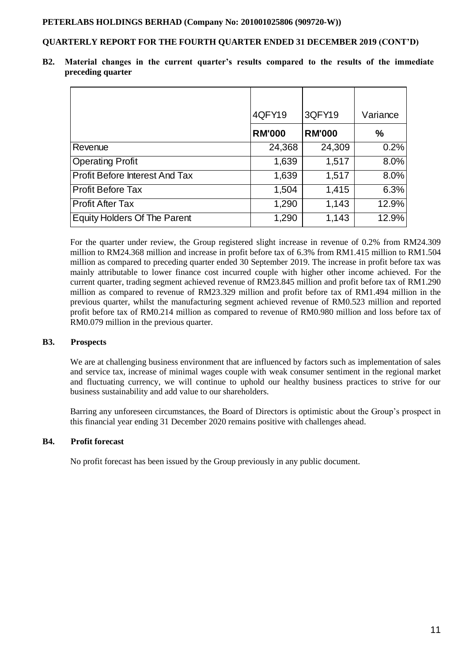#### **QUARTERLY REPORT FOR THE FOURTH QUARTER ENDED 31 DECEMBER 2019 (CONT'D)**

**B2. Material changes in the current quarter's results compared to the results of the immediate preceding quarter**

|                                     | 4QFY19        | 3QFY19        | Variance      |
|-------------------------------------|---------------|---------------|---------------|
|                                     | <b>RM'000</b> | <b>RM'000</b> | $\frac{0}{0}$ |
| Revenue                             | 24,368        | 24,309        | 0.2%          |
| <b>Operating Profit</b>             | 1,639         | 1,517         | 8.0%          |
| Profit Before Interest And Tax      | 1,639         | 1,517         | 8.0%          |
| Profit Before Tax                   | 1,504         | 1,415         | 6.3%          |
| Profit After Tax                    | 1,290         | 1,143         | 12.9%         |
| <b>Equity Holders Of The Parent</b> | 1,290         | 1,143         | 12.9%         |

For the quarter under review, the Group registered slight increase in revenue of 0.2% from RM24.309 million to RM24.368 million and increase in profit before tax of 6.3% from RM1.415 million to RM1.504 million as compared to preceding quarter ended 30 September 2019. The increase in profit before tax was mainly attributable to lower finance cost incurred couple with higher other income achieved. For the current quarter, trading segment achieved revenue of RM23.845 million and profit before tax of RM1.290 million as compared to revenue of RM23.329 million and profit before tax of RM1.494 million in the previous quarter, whilst the manufacturing segment achieved revenue of RM0.523 million and reported profit before tax of RM0.214 million as compared to revenue of RM0.980 million and loss before tax of RM0.079 million in the previous quarter.

#### **B3. Prospects**

We are at challenging business environment that are influenced by factors such as implementation of sales and service tax, increase of minimal wages couple with weak consumer sentiment in the regional market and fluctuating currency, we will continue to uphold our healthy business practices to strive for our business sustainability and add value to our shareholders.

Barring any unforeseen circumstances, the Board of Directors is optimistic about the Group's prospect in this financial year ending 31 December 2020 remains positive with challenges ahead.

#### **B4. Profit forecast**

No profit forecast has been issued by the Group previously in any public document.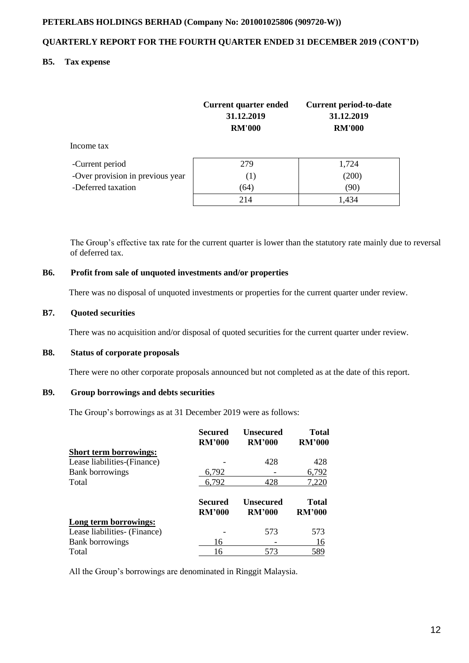# **QUARTERLY REPORT FOR THE FOURTH QUARTER ENDED 31 DECEMBER 2019 (CONT'D)**

#### **B5. Tax expense**

|                                  | <b>Current quarter ended</b><br>31.12.2019<br><b>RM'000</b> | <b>Current period-to-date</b><br>31.12.2019<br><b>RM'000</b> |
|----------------------------------|-------------------------------------------------------------|--------------------------------------------------------------|
| Income tax                       |                                                             |                                                              |
| -Current period                  | 279                                                         | 1,724                                                        |
| -Over provision in previous year | (1)                                                         | (200)                                                        |
| -Deferred taxation               | (64)                                                        | (90)                                                         |
|                                  | 214                                                         | 1,434                                                        |

The Group's effective tax rate for the current quarter is lower than the statutory rate mainly due to reversal of deferred tax.

# **B6. Profit from sale of unquoted investments and/or properties**

There was no disposal of unquoted investments or properties for the current quarter under review.

#### **B7. Quoted securities**

There was no acquisition and/or disposal of quoted securities for the current quarter under review.

#### **B8. Status of corporate proposals**

There were no other corporate proposals announced but not completed as at the date of this report.

# **B9. Group borrowings and debts securities**

The Group's borrowings as at 31 December 2019 were as follows:

|                               | <b>Secured</b><br><b>RM'000</b> | <b>Unsecured</b><br><b>RM'000</b> | Total<br><b>RM'000</b> |
|-------------------------------|---------------------------------|-----------------------------------|------------------------|
| <b>Short term borrowings:</b> |                                 |                                   |                        |
| Lease liabilities-(Finance)   |                                 | 428                               | 428                    |
| <b>Bank borrowings</b>        | 6.792                           |                                   | 6,792                  |
| Total                         | 6,792                           | 428                               | 7,220                  |
|                               | Secured<br><b>RM'000</b>        | <b>Unsecured</b><br><b>RM'000</b> | Total<br><b>RM'000</b> |
|                               |                                 |                                   |                        |
| Long term borrowings:         |                                 |                                   |                        |
| Lease liabilities (Finance)   |                                 | 573                               | 573                    |
| <b>Bank borrowings</b>        | 16                              |                                   | 16                     |

All the Group's borrowings are denominated in Ringgit Malaysia.